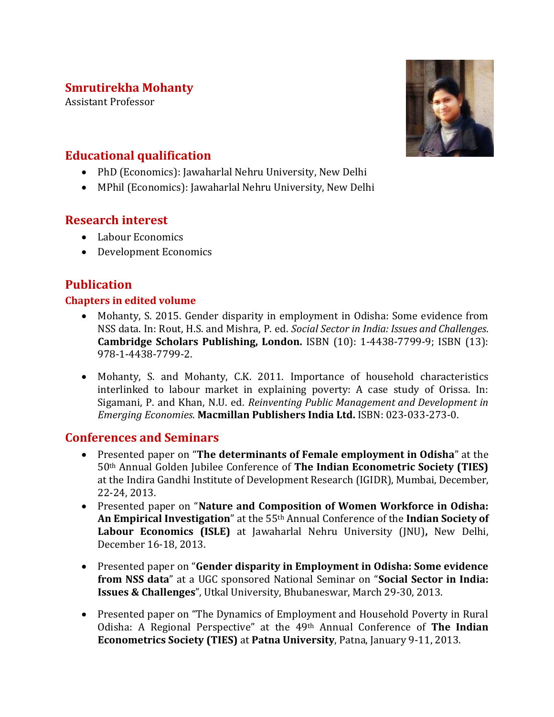## **Smrutirekha Mohanty**

Assistant Professor



# **Educational qualification**

- PhD (Economics): Jawaharlal Nehru University, New Delhi
- MPhil (Economics): Jawaharlal Nehru University, New Delhi

### **Research interest**

- Labour Economics
- Development Economics

## **Publication**

#### **Chapters in edited volume**

- Mohanty, S. 2015. Gender disparity in employment in Odisha: Some evidence from NSS data. In: Rout, H.S. and Mishra, P. ed. *Social Sector in India: Issues and Challenges*. **Cambridge Scholars Publishing, London.** ISBN (10): 1-4438-7799-9; ISBN (13): 978-1-4438-7799-2.
- Mohanty, S. and Mohanty, C.K. 2011. Importance of household characteristics interlinked to labour market in explaining poverty: A case study of Orissa. In: Sigamani, P. and Khan, N.U. ed. *Reinventing Public Management and Development in Emerging Economies*. **Macmillan Publishers India Ltd.** ISBN: 023-033-273-0.

### **Conferences and Seminars**

- Presented paper on "**The determinants of Female employment in Odisha**" at the 50th Annual Golden Jubilee Conference of **The Indian Econometric Society (TIES)** at the Indira Gandhi Institute of Development Research (IGIDR), Mumbai, December, 22-24, 2013.
- Presented paper on "**Nature and Composition of Women Workforce in Odisha: An Empirical Investigation**" at the 55th Annual Conference of the **Indian Society of Labour Economics (ISLE)** at Jawaharlal Nehru University (JNU)**,** New Delhi, December 16-18, 2013.
- Presented paper on "**Gender disparity in Employment in Odisha: Some evidence from NSS data**" at a UGC sponsored National Seminar on "**Social Sector in India: Issues & Challenges**", Utkal University, Bhubaneswar, March 29-30, 2013.
- Presented paper on "The Dynamics of Employment and Household Poverty in Rural Odisha: A Regional Perspective" at the 49th Annual Conference of **The Indian Econometrics Society (TIES)** at **Patna University**, Patna, January 9-11, 2013.